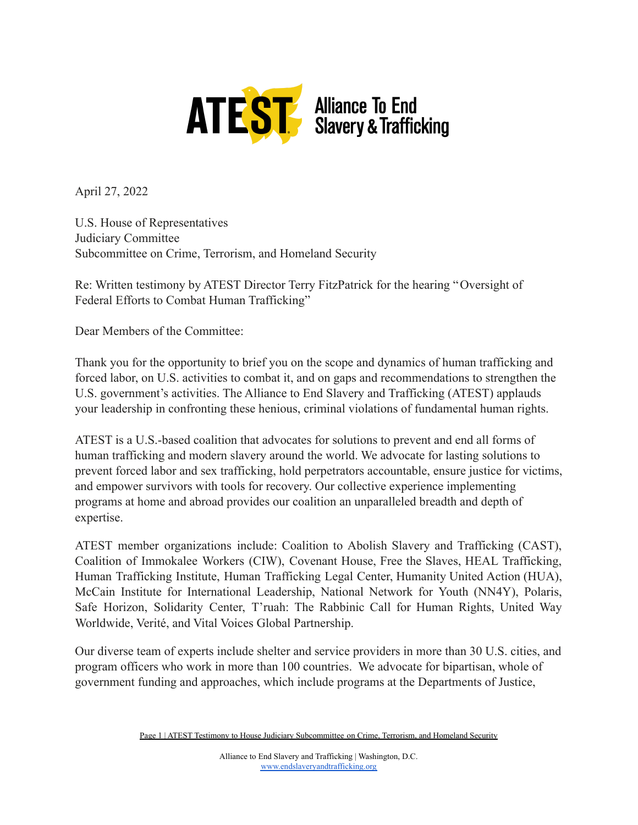

April 27, 2022

U.S. House of Representatives Judiciary Committee Subcommittee on Crime, Terrorism, and Homeland Security

Re: Written testimony by ATEST Director Terry FitzPatrick for the hearing "Oversight of Federal Efforts to Combat Human Trafficking"

Dear Members of the Committee:

Thank you for the opportunity to brief you on the scope and dynamics of human trafficking and forced labor, on U.S. activities to combat it, and on gaps and recommendations to strengthen the U.S. government's activities. The Alliance to End Slavery and Trafficking (ATEST) applauds your leadership in confronting these henious, criminal violations of fundamental human rights.

ATEST is a U.S.-based coalition that advocates for solutions to prevent and end all forms of human trafficking and modern slavery around the world. We advocate for lasting solutions to prevent forced labor and sex trafficking, hold perpetrators accountable, ensure justice for victims, and empower survivors with tools for recovery. Our collective experience implementing programs at home and abroad provides our coalition an unparalleled breadth and depth of expertise.

ATEST member organizations include: Coalition to Abolish Slavery and Trafficking (CAST), Coalition of Immokalee Workers (CIW), Covenant House, Free the Slaves, HEAL Trafficking, Human Trafficking Institute, Human Trafficking Legal Center, Humanity United Action (HUA), McCain Institute for International Leadership, National Network for Youth (NN4Y), Polaris, Safe Horizon, Solidarity Center, T'ruah: The Rabbinic Call for Human Rights, United Way Worldwide, Verité, and Vital Voices Global Partnership.

Our diverse team of experts include shelter and service providers in more than 30 U.S. cities, and program officers who work in more than 100 countries. We advocate for bipartisan, whole of government funding and approaches, which include programs at the Departments of Justice,

Page 1 | ATEST Testimony to House Judiciary Subcommittee on Crime, Terrorism, and Homeland Security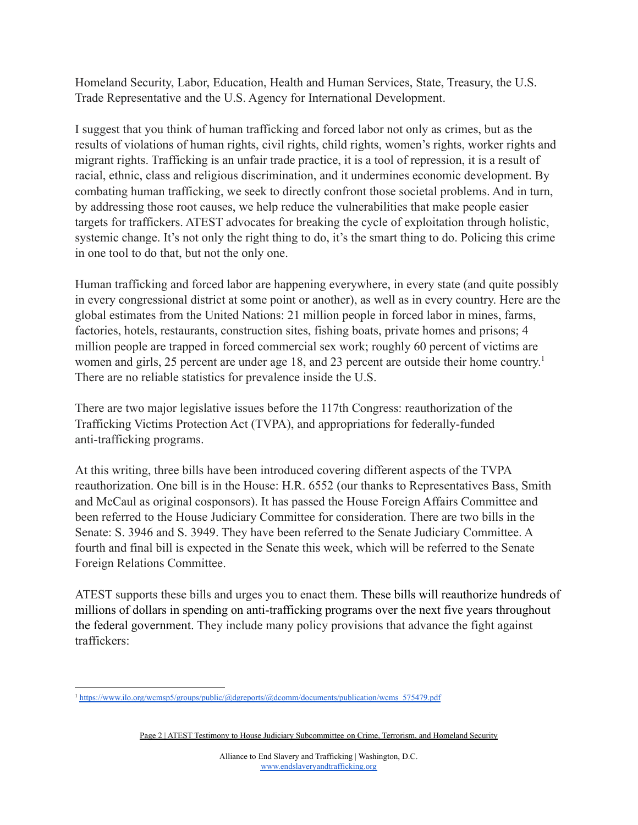Homeland Security, Labor, Education, Health and Human Services, State, Treasury, the U.S. Trade Representative and the U.S. Agency for International Development.

I suggest that you think of human trafficking and forced labor not only as crimes, but as the results of violations of human rights, civil rights, child rights, women's rights, worker rights and migrant rights. Trafficking is an unfair trade practice, it is a tool of repression, it is a result of racial, ethnic, class and religious discrimination, and it undermines economic development. By combating human trafficking, we seek to directly confront those societal problems. And in turn, by addressing those root causes, we help reduce the vulnerabilities that make people easier targets for traffickers. ATEST advocates for breaking the cycle of exploitation through holistic, systemic change. It's not only the right thing to do, it's the smart thing to do. Policing this crime in one tool to do that, but not the only one.

Human trafficking and forced labor are happening everywhere, in every state (and quite possibly in every congressional district at some point or another), as well as in every country. Here are the global estimates from the United Nations: 21 million people in forced labor in mines, farms, factories, hotels, restaurants, construction sites, fishing boats, private homes and prisons; 4 million people are trapped in forced commercial sex work; roughly 60 percent of victims are women and girls, 25 percent are under age 18, and 23 percent are outside their home country.<sup>1</sup> There are no reliable statistics for prevalence inside the U.S.

There are two major legislative issues before the 117th Congress: reauthorization of the Trafficking Victims Protection Act (TVPA), and appropriations for federally-funded anti-trafficking programs.

At this writing, three bills have been introduced covering different aspects of the TVPA reauthorization. One bill is in the House: H.R. 6552 (our thanks to Representatives Bass, Smith and McCaul as original cosponsors). It has passed the House Foreign Affairs Committee and been referred to the House Judiciary Committee for consideration. There are two bills in the Senate: S. 3946 and S. 3949. They have been referred to the Senate Judiciary Committee. A fourth and final bill is expected in the Senate this week, which will be referred to the Senate Foreign Relations Committee.

ATEST supports these bills and urges you to enact them. These bills will reauthorize hundreds of millions of dollars in spending on anti-trafficking programs over the next five years throughout the federal government. They include many policy provisions that advance the fight against traffickers:

<sup>1</sup> [https://www.ilo.org/wcmsp5/groups/public/@dgreports/@dcomm/documents/publication/wcms\\_575479.pdf](https://www.ilo.org/wcmsp5/groups/public/@dgreports/@dcomm/documents/publication/wcms_575479.pdf)

Page 2 | ATEST Testimony to House Judiciary Subcommittee on Crime, Terrorism, and Homeland Security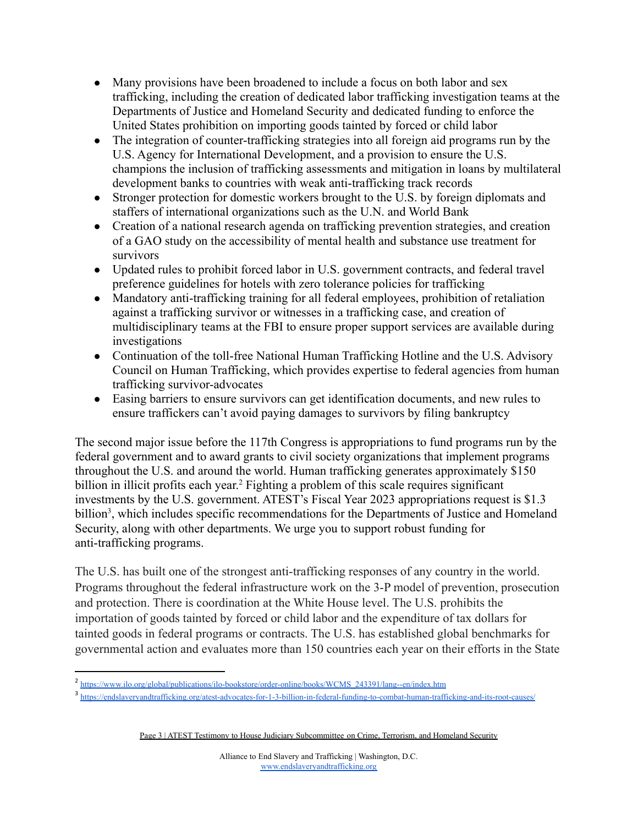- Many provisions have been broadened to include a focus on both labor and sex trafficking, including the creation of dedicated labor trafficking investigation teams at the Departments of Justice and Homeland Security and dedicated funding to enforce the United States prohibition on importing goods tainted by forced or child labor
- The integration of counter-trafficking strategies into all foreign aid programs run by the U.S. Agency for International Development, and a provision to ensure the U.S. champions the inclusion of trafficking assessments and mitigation in loans by multilateral development banks to countries with weak anti-trafficking track records
- Stronger protection for domestic workers brought to the U.S. by foreign diplomats and staffers of international organizations such as the U.N. and World Bank
- Creation of a national research agenda on trafficking prevention strategies, and creation of a GAO study on the accessibility of mental health and substance use treatment for survivors
- Updated rules to prohibit forced labor in U.S. government contracts, and federal travel preference guidelines for hotels with zero tolerance policies for trafficking
- Mandatory anti-trafficking training for all federal employees, prohibition of retaliation against a trafficking survivor or witnesses in a trafficking case, and creation of multidisciplinary teams at the FBI to ensure proper support services are available during investigations
- Continuation of the toll-free National Human Trafficking Hotline and the U.S. Advisory Council on Human Trafficking, which provides expertise to federal agencies from human trafficking survivor-advocates
- Easing barriers to ensure survivors can get identification documents, and new rules to ensure traffickers can't avoid paying damages to survivors by filing bankruptcy

The second major issue before the 117th Congress is appropriations to fund programs run by the federal government and to award grants to civil society organizations that implement programs throughout the U.S. and around the world. Human trafficking generates approximately \$150 billion in illicit profits each year. <sup>2</sup> Fighting a problem of this scale requires significant investments by the U.S. government. ATEST's Fiscal Year 2023 appropriations request is \$1.3 billion<sup>3</sup>, which includes specific recommendations for the Departments of Justice and Homeland Security, along with other departments. We urge you to support robust funding for anti-trafficking programs.

The U.S. has built one of the strongest anti-trafficking responses of any country in the world. Programs throughout the federal infrastructure work on the 3-P model of prevention, prosecution and protection. There is coordination at the White House level. The U.S. prohibits the importation of goods tainted by forced or child labor and the expenditure of tax dollars for tainted goods in federal programs or contracts. The U.S. has established global benchmarks for governmental action and evaluates more than 150 countries each year on their efforts in the State

<sup>&</sup>lt;sup>2</sup> [https://www.ilo.org/global/publications/ilo-bookstore/order-online/books/WCMS\\_243391/lang--en/index.htm](https://www.ilo.org/global/publications/ilo-bookstore/order-online/books/WCMS_243391/lang--en/index.htm)

<sup>&</sup>lt;sup>3</sup> <https://endslaveryandtrafficking.org/atest-advocates-for-1-3-billion-in-federal-funding-to-combat-human-trafficking-and-its-root-causes/>

Page 3 | ATEST Testimony to House Judiciary Subcommittee on Crime, Terrorism, and Homeland Security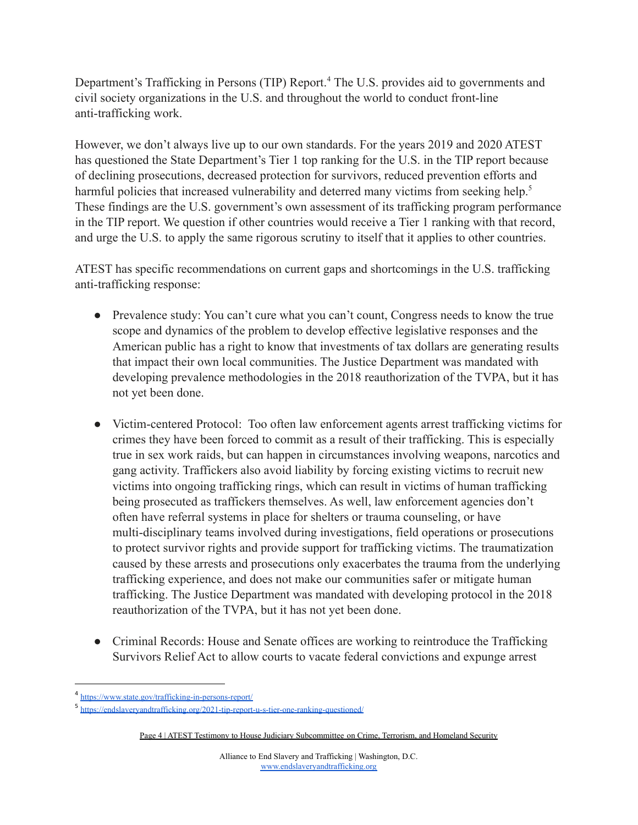Department's Trafficking in Persons (TIP) Report.<sup>4</sup> The U.S. provides aid to governments and civil society organizations in the U.S. and throughout the world to conduct front-line anti-trafficking work.

However, we don't always live up to our own standards. For the years 2019 and 2020 ATEST has questioned the State Department's Tier 1 top ranking for the U.S. in the TIP report because of declining prosecutions, decreased protection for survivors, reduced prevention efforts and harmful policies that increased vulnerability and deterred many victims from seeking help.<sup>5</sup> These findings are the U.S. government's own assessment of its trafficking program performance in the TIP report. We question if other countries would receive a Tier 1 ranking with that record, and urge the U.S. to apply the same rigorous scrutiny to itself that it applies to other countries.

ATEST has specific recommendations on current gaps and shortcomings in the U.S. trafficking anti-trafficking response:

- Prevalence study: You can't cure what you can't count, Congress needs to know the true scope and dynamics of the problem to develop effective legislative responses and the American public has a right to know that investments of tax dollars are generating results that impact their own local communities. The Justice Department was mandated with developing prevalence methodologies in the 2018 reauthorization of the TVPA, but it has not yet been done.
- Victim-centered Protocol: Too often law enforcement agents arrest trafficking victims for crimes they have been forced to commit as a result of their trafficking. This is especially true in sex work raids, but can happen in circumstances involving weapons, narcotics and gang activity. Traffickers also avoid liability by forcing existing victims to recruit new victims into ongoing trafficking rings, which can result in victims of human trafficking being prosecuted as traffickers themselves. As well, law enforcement agencies don't often have referral systems in place for shelters or trauma counseling, or have multi-disciplinary teams involved during investigations, field operations or prosecutions to protect survivor rights and provide support for trafficking victims. The traumatization caused by these arrests and prosecutions only exacerbates the trauma from the underlying trafficking experience, and does not make our communities safer or mitigate human trafficking. The Justice Department was mandated with developing protocol in the 2018 reauthorization of the TVPA, but it has not yet been done.
- Criminal Records: House and Senate offices are working to reintroduce the Trafficking Survivors Relief Act to allow courts to vacate federal convictions and expunge arrest

<sup>&</sup>lt;sup>4</sup> <https://www.state.gov/trafficking-in-persons-report/>

<sup>&</sup>lt;sup>5</sup> <https://endslaveryandtrafficking.org/2021-tip-report-u-s-tier-one-ranking-questioned/>

Page 4 | ATEST Testimony to House Judiciary Subcommittee on Crime, Terrorism, and Homeland Security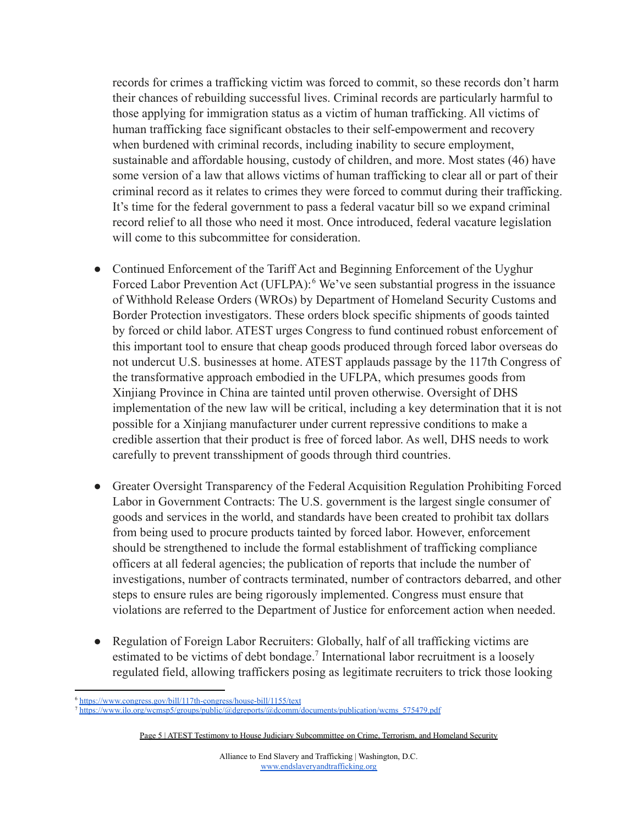records for crimes a trafficking victim was forced to commit, so these records don't harm their chances of rebuilding successful lives. Criminal records are particularly harmful to those applying for immigration status as a victim of human trafficking. All victims of human trafficking face significant obstacles to their self-empowerment and recovery when burdened with criminal records, including inability to secure employment, sustainable and affordable housing, custody of children, and more. Most states (46) have some version of a law that allows victims of human trafficking to clear all or part of their criminal record as it relates to crimes they were forced to commut during their trafficking. It's time for the federal government to pass a federal vacatur bill so we expand criminal record relief to all those who need it most. Once introduced, federal vacature legislation will come to this subcommittee for consideration.

- Continued Enforcement of the Tariff Act and Beginning Enforcement of the Uyghur Forced Labor Prevention Act (UFLPA):<sup>6</sup> We've seen substantial progress in the issuance of Withhold Release Orders (WROs) by Department of Homeland Security Customs and Border Protection investigators. These orders block specific shipments of goods tainted by forced or child labor. ATEST urges Congress to fund continued robust enforcement of this important tool to ensure that cheap goods produced through forced labor overseas do not undercut U.S. businesses at home. ATEST applauds passage by the 117th Congress of the transformative approach embodied in the UFLPA, which presumes goods from Xinjiang Province in China are tainted until proven otherwise. Oversight of DHS implementation of the new law will be critical, including a key determination that it is not possible for a Xinjiang manufacturer under current repressive conditions to make a credible assertion that their product is free of forced labor. As well, DHS needs to work carefully to prevent transshipment of goods through third countries.
- Greater Oversight Transparency of the Federal Acquisition Regulation Prohibiting Forced Labor in Government Contracts: The U.S. government is the largest single consumer of goods and services in the world, and standards have been created to prohibit tax dollars from being used to procure products tainted by forced labor. However, enforcement should be strengthened to include the formal establishment of trafficking compliance officers at all federal agencies; the publication of reports that include the number of investigations, number of contracts terminated, number of contractors debarred, and other steps to ensure rules are being rigorously implemented. Congress must ensure that violations are referred to the Department of Justice for enforcement action when needed.
- Regulation of Foreign Labor Recruiters: Globally, half of all trafficking victims are estimated to be victims of debt bondage.<sup>7</sup> International labor recruitment is a loosely regulated field, allowing traffickers posing as legitimate recruiters to trick those looking

<sup>6</sup> <https://www.congress.gov/bill/117th-congress/house-bill/1155/text>

<sup>7</sup> [https://www.ilo.org/wcmsp5/groups/public/@dgreports/@dcomm/documents/publication/wcms\\_575479.pdf](https://www.ilo.org/wcmsp5/groups/public/@dgreports/@dcomm/documents/publication/wcms_575479.pdf)

Page 5 | ATEST Testimony to House Judiciary Subcommittee on Crime, Terrorism, and Homeland Security